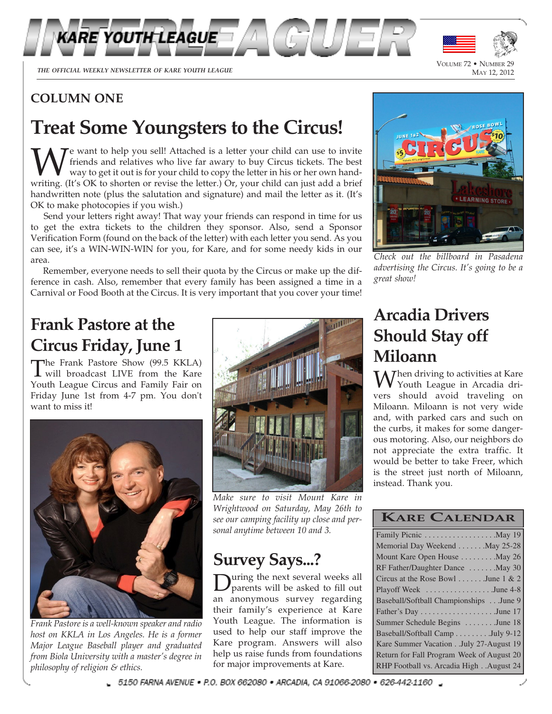

<sup>M</sup>AY 12, 2012 *THE OFFICIAL WEEKLY NEWSLETTER OF KARE YOUTH LEAGUE*

VOLUME 72 • NUMBER 29<br>MAY 12, 2012

# **COLUMN ONE**

# **Treat Some Youngsters to the Circus!**

We want to help you sell! Attached is a letter your child can use to invite<br>friends and relatives who live far awary to buy Circus tickets. The best<br>writing. (It's OK to shorten or revise the letter.) Or, your child can ju e want to help you sell! Attached is a letter your child can use to invite friends and relatives who live far awary to buy Circus tickets. The best way to get it out is for your child to copy the letter in his or her own handhandwritten note (plus the salutation and signature) and mail the letter as it. (It's OK to make photocopies if you wish.)

Send your letters right away! That way your friends can respond in time for us to get the extra tickets to the children they sponsor. Also, send a Sponsor Verification Form (found on the back of the letter) with each letter you send. As you can see, it's a WIN-WIN-WIN for you, for Kare, and for some needy kids in our area.

Remember, everyone needs to sell their quota by the Circus or make up the difference in cash. Also, remember that every family has been assigned a time in a Carnival or Food Booth at the Circus. It is very important that you cover your time!

# **Frank Pastore at the Circus Friday, June 1**

The Frank Pastore Show (99.5 KKLA)<br>will broadcast LIVE from the Kare will broadcast LIVE from the Kare Youth League Circus and Family Fair on Friday June 1st from 4-7 pm. You don't want to miss it!



*Frank Pastore is a well-known speaker and radio host on KKLA in Los Angeles. He is a former Major League Baseball player and graduated from Biola University with a master's degree in philosophy of religion & ethics.*



*Make sure to visit Mount Kare in Wrightwood on Saturday, May 26th to see our camping facility up close and personal anytime between 10 and 3.*

# **Survey Says...?**

**D** parents will be asked to fill out an anonymous survey regarding uring the next several weeks all parents will be asked to fill out their family's experience at Kare Youth League. The information is used to help our staff improve the Kare program. Answers will also help us raise funds from foundations for major improvements at Kare.



*Check out the billboard in Pasadena advertising the Circus. It's going to be a great show!*

# **Arcadia Drivers Should Stay off Miloann**

 $\Lambda$  *Then driving to activities at Kare* Youth League in Arcadia drivers should avoid traveling on Miloann. Miloann is not very wide and, with parked cars and such on the curbs, it makes for some dangerous motoring. Also, our neighbors do not appreciate the extra traffic. It would be better to take Freer, which is the street just north of Miloann, instead. Thank you.

| <b>KARE CALENDAR</b> |
|----------------------|
|                      |

| Memorial Day Weekend May 25-28            |
|-------------------------------------------|
| Mount Kare Open House May 26              |
| RF Father/Daughter Dance  May 30          |
| Circus at the Rose Bowl  June 1 & 2       |
| Playoff Week June 4-8                     |
| Baseball/Softball Championships June 9    |
|                                           |
| Summer Schedule Begins  June 18           |
| Baseball/Softball Camp July 9-12          |
| Kare Summer VacationJuly 27-August 19     |
| Return for Fall Program Week of August 20 |
| RHP Football vs. Arcadia High August 24   |